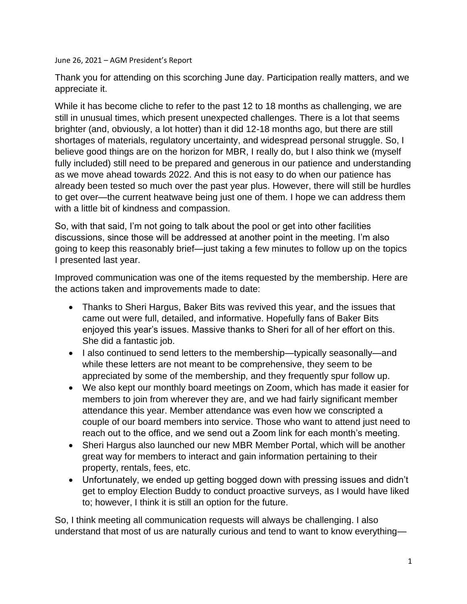June 26, 2021 – AGM President's Report

Thank you for attending on this scorching June day. Participation really matters, and we appreciate it.

While it has become cliche to refer to the past 12 to 18 months as challenging, we are still in unusual times, which present unexpected challenges. There is a lot that seems brighter (and, obviously, a lot hotter) than it did 12-18 months ago, but there are still shortages of materials, regulatory uncertainty, and widespread personal struggle. So, I believe good things are on the horizon for MBR, I really do, but I also think we (myself fully included) still need to be prepared and generous in our patience and understanding as we move ahead towards 2022. And this is not easy to do when our patience has already been tested so much over the past year plus. However, there will still be hurdles to get over—the current heatwave being just one of them. I hope we can address them with a little bit of kindness and compassion.

So, with that said, I'm not going to talk about the pool or get into other facilities discussions, since those will be addressed at another point in the meeting. I'm also going to keep this reasonably brief—just taking a few minutes to follow up on the topics I presented last year.

Improved communication was one of the items requested by the membership. Here are the actions taken and improvements made to date:

- Thanks to Sheri Hargus, Baker Bits was revived this year, and the issues that came out were full, detailed, and informative. Hopefully fans of Baker Bits enjoyed this year's issues. Massive thanks to Sheri for all of her effort on this. She did a fantastic job.
- I also continued to send letters to the membership—typically seasonally—and while these letters are not meant to be comprehensive, they seem to be appreciated by some of the membership, and they frequently spur follow up.
- We also kept our monthly board meetings on Zoom, which has made it easier for members to join from wherever they are, and we had fairly significant member attendance this year. Member attendance was even how we conscripted a couple of our board members into service. Those who want to attend just need to reach out to the office, and we send out a Zoom link for each month's meeting.
- Sheri Hargus also launched our new MBR Member Portal, which will be another great way for members to interact and gain information pertaining to their property, rentals, fees, etc.
- Unfortunately, we ended up getting bogged down with pressing issues and didn't get to employ Election Buddy to conduct proactive surveys, as I would have liked to; however, I think it is still an option for the future.

So, I think meeting all communication requests will always be challenging. I also understand that most of us are naturally curious and tend to want to know everything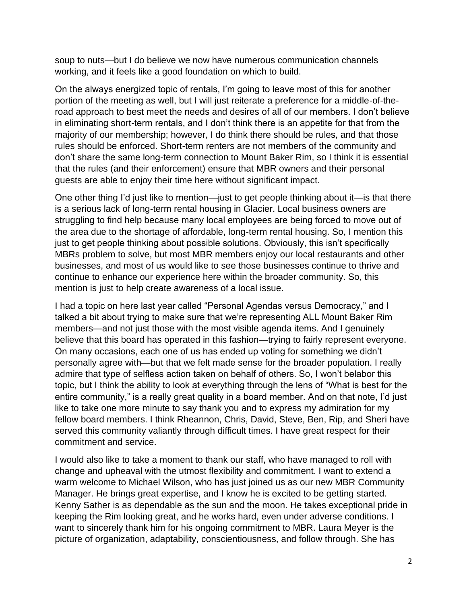soup to nuts—but I do believe we now have numerous communication channels working, and it feels like a good foundation on which to build.

On the always energized topic of rentals, I'm going to leave most of this for another portion of the meeting as well, but I will just reiterate a preference for a middle-of-theroad approach to best meet the needs and desires of all of our members. I don't believe in eliminating short-term rentals, and I don't think there is an appetite for that from the majority of our membership; however, I do think there should be rules, and that those rules should be enforced. Short-term renters are not members of the community and don't share the same long-term connection to Mount Baker Rim, so I think it is essential that the rules (and their enforcement) ensure that MBR owners and their personal guests are able to enjoy their time here without significant impact.

One other thing I'd just like to mention—just to get people thinking about it—is that there is a serious lack of long-term rental housing in Glacier. Local business owners are struggling to find help because many local employees are being forced to move out of the area due to the shortage of affordable, long-term rental housing. So, I mention this just to get people thinking about possible solutions. Obviously, this isn't specifically MBRs problem to solve, but most MBR members enjoy our local restaurants and other businesses, and most of us would like to see those businesses continue to thrive and continue to enhance our experience here within the broader community. So, this mention is just to help create awareness of a local issue.

I had a topic on here last year called "Personal Agendas versus Democracy," and I talked a bit about trying to make sure that we're representing ALL Mount Baker Rim members—and not just those with the most visible agenda items. And I genuinely believe that this board has operated in this fashion—trying to fairly represent everyone. On many occasions, each one of us has ended up voting for something we didn't personally agree with—but that we felt made sense for the broader population. I really admire that type of selfless action taken on behalf of others. So, I won't belabor this topic, but I think the ability to look at everything through the lens of "What is best for the entire community," is a really great quality in a board member. And on that note, I'd just like to take one more minute to say thank you and to express my admiration for my fellow board members. I think Rheannon, Chris, David, Steve, Ben, Rip, and Sheri have served this community valiantly through difficult times. I have great respect for their commitment and service.

I would also like to take a moment to thank our staff, who have managed to roll with change and upheaval with the utmost flexibility and commitment. I want to extend a warm welcome to Michael Wilson, who has just joined us as our new MBR Community Manager. He brings great expertise, and I know he is excited to be getting started. Kenny Sather is as dependable as the sun and the moon. He takes exceptional pride in keeping the Rim looking great, and he works hard, even under adverse conditions. I want to sincerely thank him for his ongoing commitment to MBR. Laura Meyer is the picture of organization, adaptability, conscientiousness, and follow through. She has